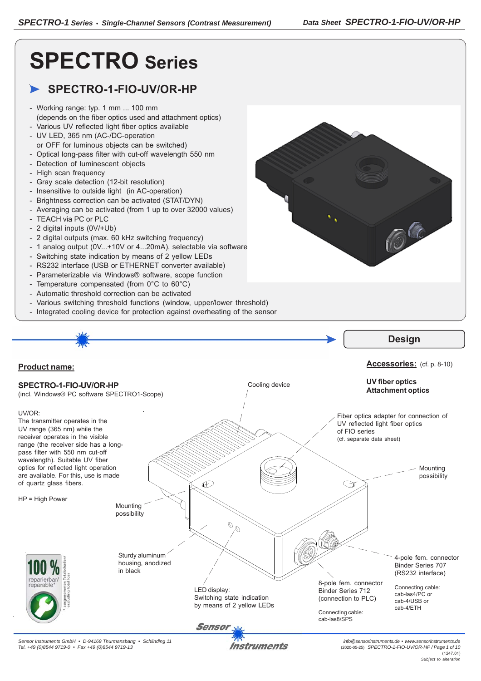C

# **SPECTRO Series**

## **SPECTRO-1-FIO-UV/OR-HP**

- Working range: typ. 1 mm ... 100 mm (depends on the fiber optics used and attachment optics)
- Various UV reflected light fiber optics available - UV LED, 365 nm (AC-/DC-operation
- or OFF for luminous objects can be switched)
- Optical long-pass filter with cut-off wavelength 550 nm
- Detection of luminescent objects
- High scan frequency
- Gray scale detection (12-bit resolution)
- Insensitive to outside light (in AC-operation)
- Brightness correction can be activated (STAT/DYN)
- Averaging can be activated (from 1 up to over 32000 values)
- TEACH via PC or PLC
- 2 digital inputs (0V/+Ub)
- 2 digital outputs (max. 60 kHz switching frequency)
- 1 analog output (0V...+10V or 4...20mA), selectable via software
- Switching state indication by means of 2 yellow LEDs
- RS232 interface (USB or ETHERNET converter available)
- Parameterizable via Windows® software, scope function
- Temperature compensated (from 0°C to 60°C)
- Automatic threshold correction can be activated
- Various switching threshold functions (window, upper/lower threshold)
- Integrated cooling device for protection against overheating of the sensor

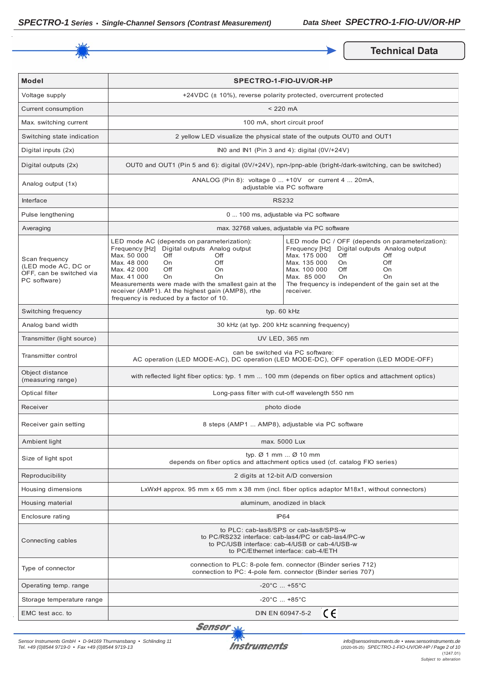

**Technical Data** 

| <b>Model</b>                                                                      | SPECTRO-1-FIO-UV/OR-HP                                                                                                                                                                                                                                                                                                                                              |                                                                                                                                                                                                                                                                                         |  |
|-----------------------------------------------------------------------------------|---------------------------------------------------------------------------------------------------------------------------------------------------------------------------------------------------------------------------------------------------------------------------------------------------------------------------------------------------------------------|-----------------------------------------------------------------------------------------------------------------------------------------------------------------------------------------------------------------------------------------------------------------------------------------|--|
| Voltage supply                                                                    |                                                                                                                                                                                                                                                                                                                                                                     | +24VDC (± 10%), reverse polarity protected, overcurrent protected                                                                                                                                                                                                                       |  |
| Current consumption                                                               |                                                                                                                                                                                                                                                                                                                                                                     | $< 220$ mA                                                                                                                                                                                                                                                                              |  |
| Max. switching current                                                            |                                                                                                                                                                                                                                                                                                                                                                     | 100 mA, short circuit proof                                                                                                                                                                                                                                                             |  |
| Switching state indication                                                        |                                                                                                                                                                                                                                                                                                                                                                     | 2 yellow LED visualize the physical state of the outputs OUT0 and OUT1                                                                                                                                                                                                                  |  |
| Digital inputs (2x)                                                               |                                                                                                                                                                                                                                                                                                                                                                     | INO and IN1 (Pin 3 and 4): digital $(0V/+24V)$                                                                                                                                                                                                                                          |  |
| Digital outputs (2x)                                                              | OUT0 and OUT1 (Pin 5 and 6): digital (0V/+24V), npn-/pnp-able (bright-/dark-switching, can be switched)                                                                                                                                                                                                                                                             |                                                                                                                                                                                                                                                                                         |  |
| Analog output (1x)                                                                | ANALOG (Pin 8): voltage 0  +10V or current 4  20mA,<br>adjustable via PC software                                                                                                                                                                                                                                                                                   |                                                                                                                                                                                                                                                                                         |  |
| Interface                                                                         | <b>RS232</b>                                                                                                                                                                                                                                                                                                                                                        |                                                                                                                                                                                                                                                                                         |  |
| Pulse lengthening                                                                 | 0  100 ms, adjustable via PC software                                                                                                                                                                                                                                                                                                                               |                                                                                                                                                                                                                                                                                         |  |
| Averaging                                                                         | max. 32768 values, adjustable via PC software                                                                                                                                                                                                                                                                                                                       |                                                                                                                                                                                                                                                                                         |  |
| Scan frequency<br>(LED mode AC, DC or<br>OFF, can be switched via<br>PC software) | LED mode AC (depends on parameterization):<br>Frequency [Hz] Digital outputs Analog output<br>Max. 50 000<br>Off<br>Off<br>Max. 48 000<br>On.<br>Off<br>Off<br>Max. 42 000<br>On<br>Max. 41 000<br>On<br>On<br>Measurements were made with the smallest gain at the<br>receiver (AMP1). At the highest gain (AMP8), rthe<br>frequency is reduced by a factor of 10. | LED mode DC / OFF (depends on parameterization):<br>Frequency [Hz] Digital outputs Analog output<br>Max. 175 000<br>Off<br>Off<br>Max. 135 000<br>Off<br>On<br>Max. 100 000<br>Off<br>On<br>Max. 85 000<br>On<br>On<br>The frequency is independent of the gain set at the<br>receiver. |  |
| Switching frequency                                                               | typ. 60 kHz                                                                                                                                                                                                                                                                                                                                                         |                                                                                                                                                                                                                                                                                         |  |
| Analog band width                                                                 | 30 kHz (at typ. 200 kHz scanning frequency)                                                                                                                                                                                                                                                                                                                         |                                                                                                                                                                                                                                                                                         |  |
| Transmitter (light source)                                                        | UV LED, 365 nm                                                                                                                                                                                                                                                                                                                                                      |                                                                                                                                                                                                                                                                                         |  |
| Transmitter control                                                               | can be switched via PC software:<br>AC operation (LED MODE-AC), DC operation (LED MODE-DC), OFF operation (LED MODE-OFF)                                                                                                                                                                                                                                            |                                                                                                                                                                                                                                                                                         |  |
| Object distance<br>(measuring range)                                              | with reflected light fiber optics: typ. 1 mm  100 mm (depends on fiber optics and attachment optics)                                                                                                                                                                                                                                                                |                                                                                                                                                                                                                                                                                         |  |
| Optical filter                                                                    | Long-pass filter with cut-off wavelength 550 nm                                                                                                                                                                                                                                                                                                                     |                                                                                                                                                                                                                                                                                         |  |
| Receiver                                                                          | photo diode                                                                                                                                                                                                                                                                                                                                                         |                                                                                                                                                                                                                                                                                         |  |
| Receiver gain setting                                                             | 8 steps (AMP1  AMP8), adjustable via PC software                                                                                                                                                                                                                                                                                                                    |                                                                                                                                                                                                                                                                                         |  |
| Ambient light                                                                     | max. 5000 Lux                                                                                                                                                                                                                                                                                                                                                       |                                                                                                                                                                                                                                                                                         |  |
| Size of light spot                                                                | typ. $\varnothing$ 1 mm $\varnothing$ 10 mm<br>depends on fiber optics and attachment optics used (cf. catalog FIO series)                                                                                                                                                                                                                                          |                                                                                                                                                                                                                                                                                         |  |
| Reproducibility                                                                   | 2 digits at 12-bit A/D conversion                                                                                                                                                                                                                                                                                                                                   |                                                                                                                                                                                                                                                                                         |  |
| Housing dimensions                                                                | LxWxH approx. 95 mm x 65 mm x 38 mm (incl. fiber optics adaptor M18x1, without connectors)                                                                                                                                                                                                                                                                          |                                                                                                                                                                                                                                                                                         |  |
| Housing material                                                                  | aluminum, anodized in black                                                                                                                                                                                                                                                                                                                                         |                                                                                                                                                                                                                                                                                         |  |
| Enclosure rating                                                                  | IP <sub>64</sub>                                                                                                                                                                                                                                                                                                                                                    |                                                                                                                                                                                                                                                                                         |  |
| Connecting cables                                                                 | to PLC: cab-las8/SPS or cab-las8/SPS-w<br>to PC/RS232 interface: cab-las4/PC or cab-las4/PC-w<br>to PC/USB interface: cab-4/USB or cab-4/USB-w<br>to PC/Ethernet interface: cab-4/ETH                                                                                                                                                                               |                                                                                                                                                                                                                                                                                         |  |
| Type of connector                                                                 | connection to PLC: 8-pole fem. connector (Binder series 712)<br>connection to PC: 4-pole fem. connector (Binder series 707)                                                                                                                                                                                                                                         |                                                                                                                                                                                                                                                                                         |  |
| Operating temp. range                                                             | $-20^{\circ}$ C $ +55^{\circ}$ C                                                                                                                                                                                                                                                                                                                                    |                                                                                                                                                                                                                                                                                         |  |
| Storage temperature range                                                         | $-20^{\circ}$ C $ +85^{\circ}$ C                                                                                                                                                                                                                                                                                                                                    |                                                                                                                                                                                                                                                                                         |  |
| EMC test acc. to                                                                  | CE<br>DIN EN 60947-5-2                                                                                                                                                                                                                                                                                                                                              |                                                                                                                                                                                                                                                                                         |  |

Sensor<sub>N</sub>

*Sensor Instruments GmbH • D-94169 Thurmansbang • Schlinding 11 Tel. +49 (0)8544 9719-0 • Fax +49 (0)8544 9719-13*

**Instruments**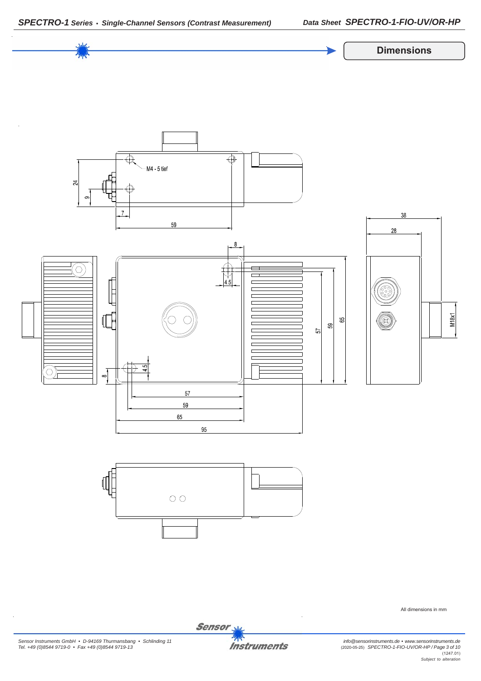



All dimensions in mm

*Sensor Instruments GmbH • D-94169 Thurmansbang • Schlinding 11 Tel. +49 (0)8544 9719-0 • Fax +49 (0)8544 9719-13*

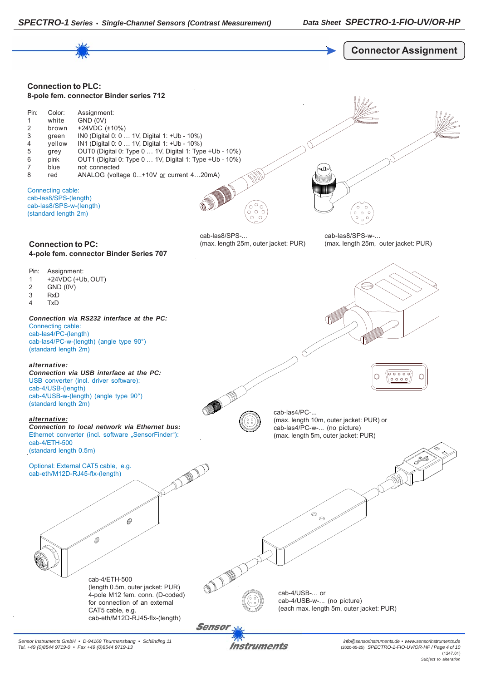

*Sensor Instruments GmbH • D-94169 Thurmansbang • Schlinding 11 Tel. +49 (0)8544 9719-0 • Fax +49 (0)8544 9719-13*

Instruments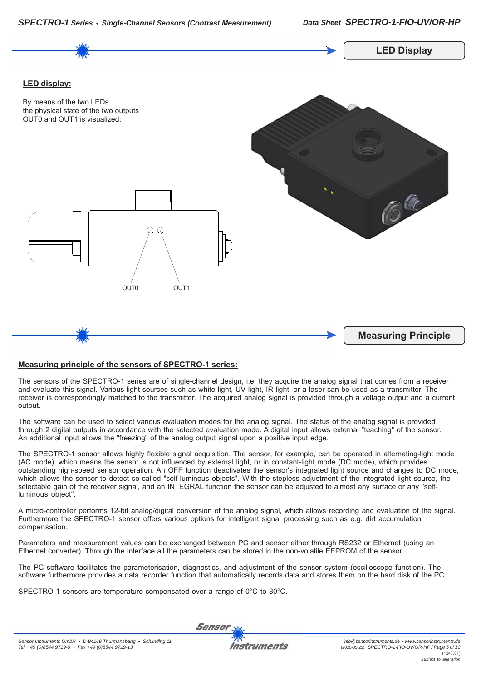



#### **Measuring principle of the sensors of SPECTRO-1 series:**

The sensors of the SPECTRO-1 series are of single-channel design, i.e. they acquire the analog signal that comes from a receiver and evaluate this signal. Various light sources such as white light, UV light, IR light, or a laser can be used as a transmitter. The receiver is correspondingly matched to the transmitter. The acquired analog signal is provided through a voltage output and a current output.

The software can be used to select various evaluation modes for the analog signal. The status of the analog signal is provided through 2 digital outputs in accordance with the selected evaluation mode. A digital input allows external "teaching" of the sensor. An additional input allows the "freezing" of the analog output signal upon a positive input edge.

The SPECTRO-1 sensor allows highly flexible signal acquisition. The sensor, for example, can be operated in alternating-light mode (AC mode), which means the sensor is not influenced by external light, or in constant-light mode (DC mode), which provides outstanding high-speed sensor operation. An OFF function deactivates the sensor's integrated light source and changes to DC mode, which allows the sensor to detect so-called "self-luminous objects". With the stepless adjustment of the integrated light source, the selectable gain of the receiver signal, and an INTEGRAL function the sensor can be adjusted to almost any surface or any "selfluminous object".

A micro-controller performs 12-bit analog/digital conversion of the analog signal, which allows recording and evaluation of the signal. Furthermore the SPECTRO-1 sensor offers various options for intelligent signal processing such as e.g. dirt accumulation compensation.

Parameters and measurement values can be exchanged between PC and sensor either through RS232 or Ethernet (using an Ethernet converter). Through the interface all the parameters can be stored in the non-volatile EEPROM of the sensor.

The PC software facilitates the parameterisation, diagnostics, and adjustment of the sensor system (oscilloscope function). The software furthermore provides a data recorder function that automatically records data and stores them on the hard disk of the PC.

SPECTRO-1 sensors are temperature-compensated over a range of 0°C to 80°C.

**Sensor**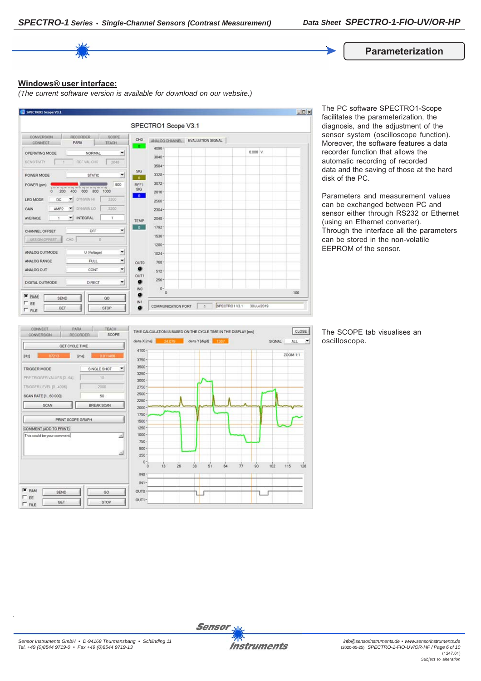**Parameterization**

#### **Windows® user interface:**

*(The current software version is available for download on our website.)*



The PC software SPECTRO1-Scope facilitates the parameterization, the diagnosis, and the adjustment of the sensor system (oscilloscope function). Moreover, the software features a data recorder function that allows the automatic recording of recorded data and the saving of those at the hard disk of the PC.

Parameters and measurement values can be exchanged between PC and sensor either through RS232 or Ethernet (using an Ethernet converter). Through the interface all the parameters can be stored in the non-volatile EEPROM of the sensor.



The SCOPE tab visualises an oscilloscope.

 $\left| \cdot \right|$ 



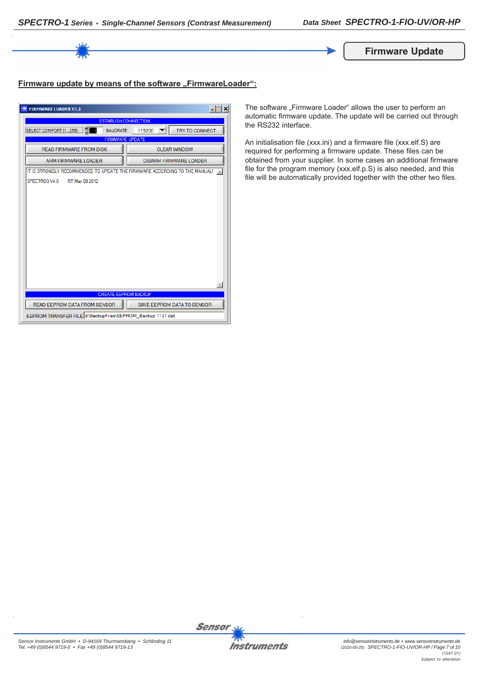

### **Firmware update by means of the software "FirmwareLoader":**

| <b>FIRMWARE LOADER V1.1</b>                                                | $\Box$                            |  |  |
|----------------------------------------------------------------------------|-----------------------------------|--|--|
| <b>ESTABLISH CONNECTION</b>                                                |                                   |  |  |
| SELECT COMPORT [1256]<br><b>BAUDRATE</b>                                   | <b>TRY TO CONNECT</b><br>115200   |  |  |
| <b>FIRMWARE UPDATE</b>                                                     |                                   |  |  |
| <b>READ FIRMWARE FROM DISK</b>                                             | <b>CLEAR WINDOW</b>               |  |  |
| <b>ARM FIRMWARE LOADER</b>                                                 | <b>DISARM FIRMWARE LOADER</b>     |  |  |
| IT IS STRONGLY RECOMMENDED TO UPDATE THE FIRMWARE ACCORDING TO THE MANUAL! |                                   |  |  |
| SPECTRO3 V4.0<br>RT May 09 2012                                            |                                   |  |  |
|                                                                            |                                   |  |  |
|                                                                            |                                   |  |  |
|                                                                            |                                   |  |  |
|                                                                            |                                   |  |  |
|                                                                            |                                   |  |  |
|                                                                            |                                   |  |  |
|                                                                            |                                   |  |  |
|                                                                            |                                   |  |  |
|                                                                            |                                   |  |  |
|                                                                            |                                   |  |  |
|                                                                            |                                   |  |  |
| <b>CREATE EEPROM BACKUP</b>                                                |                                   |  |  |
| READ EEPROM DATA FROM SENSOR                                               | <b>SAVE EEPROM DATA TO SENSOR</b> |  |  |
| EEPROM TRANSFER FILE d:\BackupFiles\EEPROM_Backup 1131.dat                 |                                   |  |  |

The software "Firmware Loader" allows the user to perform an automatic firmware update. The update will be carried out through the RS232 interface.

An initialisation file (xxx.ini) and a firmware file (xxx.elf.S) are required for performing a firmware update. These files can be obtained from your supplier. In some cases an additional firmware file for the program memory (xxx.elf.p.S) is also needed, and this file will be automatically provided together with the other two files.



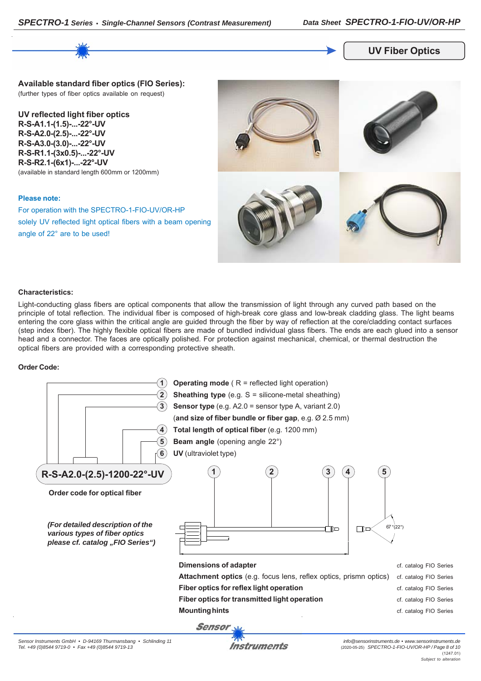

#### **UV Fiber Optics**

**Available standard fiber optics (FIO Series):** (further types of fiber optics available on request)

**UV reflected light fiber optics R-S-A1.1-(1.5)-...-22°-UV R-S-A2.0-(2.5)-...-22°-UV R-S-A3.0-(3.0)-...-22°-UV R-S-R1.1-(3x0.5)-...-22°-UV R-S-R2.1-(6x1)-...-22°-UV** (available in standard length 600mm or 1200mm)

#### **Please note:**

For operation with the SPECTRO-1-FIO-UV/OR-HP solely UV reflected light optical fibers with a beam opening angle of 22° are to be used!



#### **Characteristics:**

Light-conducting glass fibers are optical components that allow the transmission of light through any curved path based on the principle of total reflection. The individual fiber is composed of high-break core glass and low-break cladding glass. The light beams entering the core glass within the critical angle are guided through the fiber by way of reflection at the core/cladding contact surfaces (step index fiber). The highly flexible optical fibers are made of bundled individual glass fibers. The ends are each glued into a sensor head and a connector. The faces are optically polished. For protection against mechanical, chemical, or thermal destruction the optical fibers are provided with a corresponding protective sheath.

#### **Order Code:**

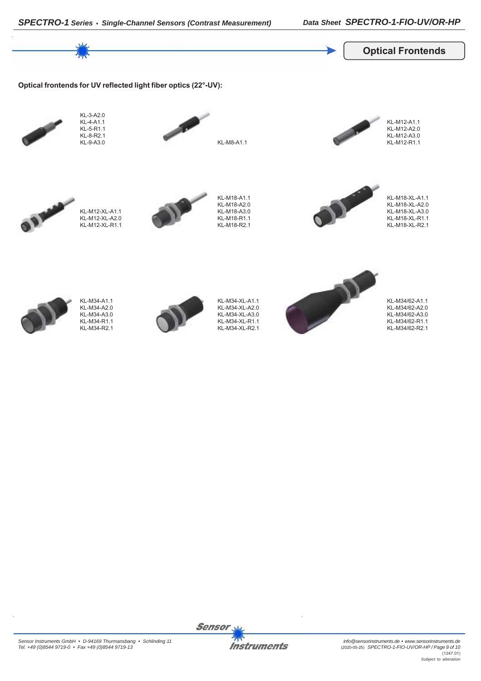